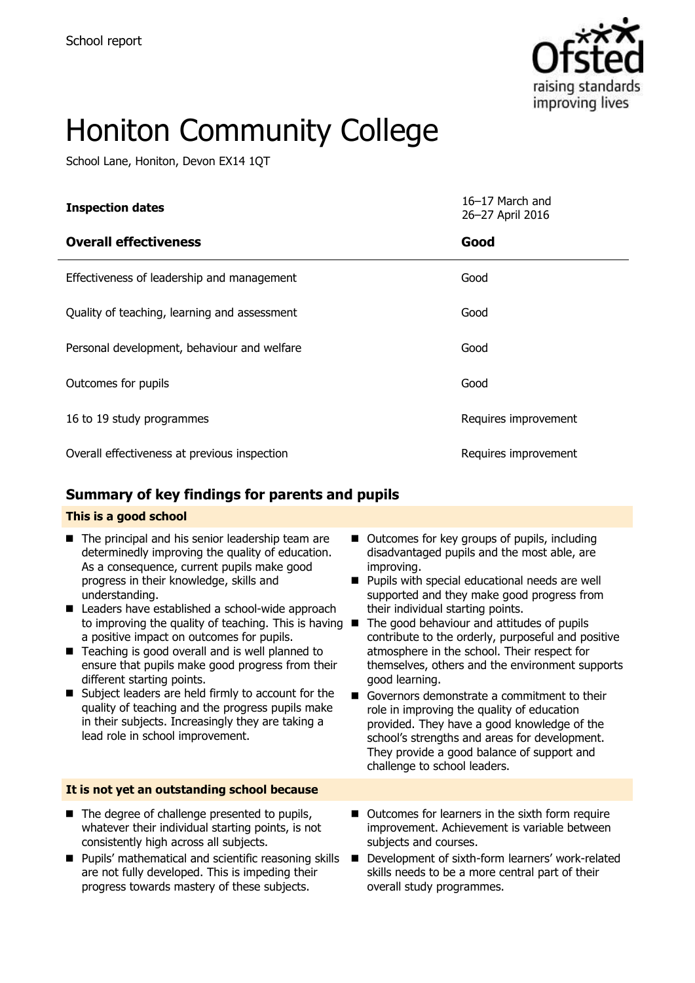

# Honiton Community College

School Lane, Honiton, Devon EX14 1QT

| <b>Inspection dates</b>                      | 16-17 March and<br>26-27 April 2016 |
|----------------------------------------------|-------------------------------------|
| <b>Overall effectiveness</b>                 | Good                                |
| Effectiveness of leadership and management   | Good                                |
| Quality of teaching, learning and assessment | Good                                |
| Personal development, behaviour and welfare  | Good                                |
| Outcomes for pupils                          | Good                                |
| 16 to 19 study programmes                    | Requires improvement                |
| Overall effectiveness at previous inspection | Requires improvement                |

### **Summary of key findings for parents and pupils**

#### **This is a good school**

- The principal and his senior leadership team are determinedly improving the quality of education. As a consequence, current pupils make good progress in their knowledge, skills and understanding.
- Leaders have established a school-wide approach to improving the quality of teaching. This is having  $\blacksquare$ a positive impact on outcomes for pupils.
- Teaching is good overall and is well planned to ensure that pupils make good progress from their different starting points.
- Subject leaders are held firmly to account for the quality of teaching and the progress pupils make in their subjects. Increasingly they are taking a lead role in school improvement.

#### **It is not yet an outstanding school because**

- $\blacksquare$  The degree of challenge presented to pupils, whatever their individual starting points, is not consistently high across all subjects.
- **Pupils' mathematical and scientific reasoning skills** are not fully developed. This is impeding their progress towards mastery of these subjects.
- Outcomes for key groups of pupils, including disadvantaged pupils and the most able, are improving.
- **Pupils with special educational needs are well** supported and they make good progress from their individual starting points.
- The good behaviour and attitudes of pupils contribute to the orderly, purposeful and positive atmosphere in the school. Their respect for themselves, others and the environment supports good learning.
- Governors demonstrate a commitment to their role in improving the quality of education provided. They have a good knowledge of the school's strengths and areas for development. They provide a good balance of support and challenge to school leaders.
- Outcomes for learners in the sixth form require improvement. Achievement is variable between subjects and courses.
- Development of sixth-form learners' work-related skills needs to be a more central part of their overall study programmes.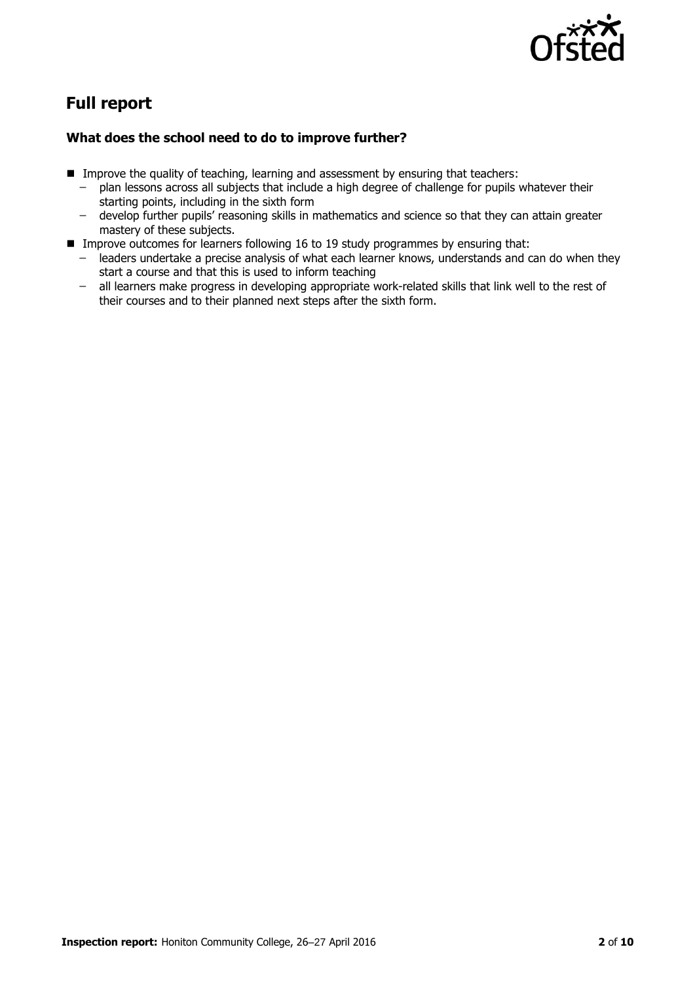

## **Full report**

#### **What does the school need to do to improve further?**

- Improve the quality of teaching, learning and assessment by ensuring that teachers:
	- ̶ plan lessons across all subjects that include a high degree of challenge for pupils whatever their starting points, including in the sixth form
	- ̶ develop further pupils' reasoning skills in mathematics and science so that they can attain greater mastery of these subjects.
- Improve outcomes for learners following 16 to 19 study programmes by ensuring that:
	- ̶ leaders undertake a precise analysis of what each learner knows, understands and can do when they start a course and that this is used to inform teaching
	- all learners make progress in developing appropriate work-related skills that link well to the rest of their courses and to their planned next steps after the sixth form.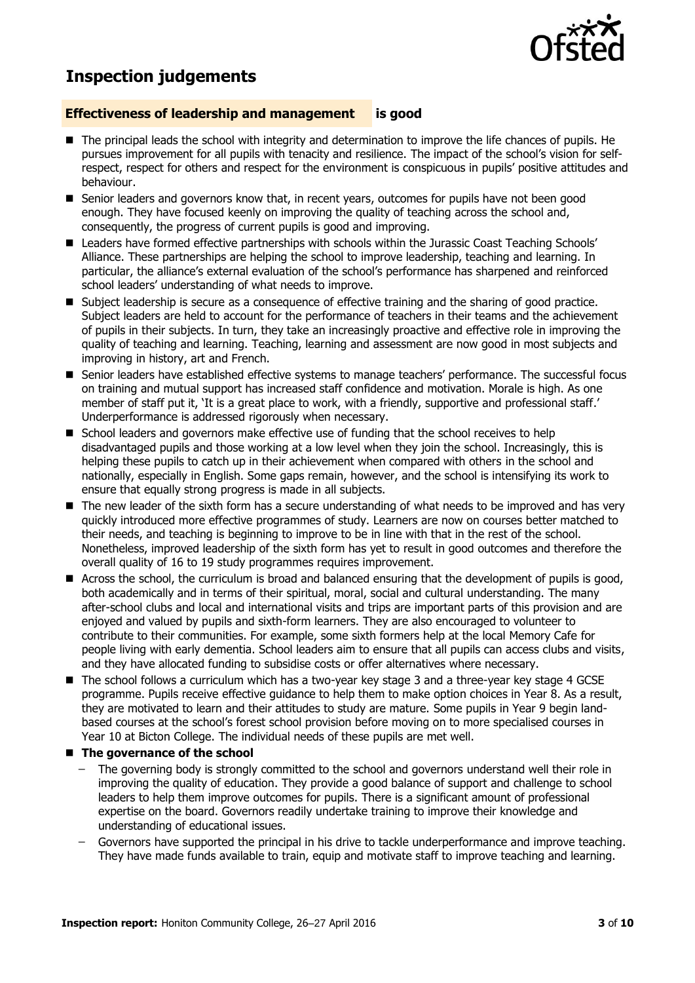

### **Inspection judgements**

#### **Effectiveness of leadership and management is good**

- The principal leads the school with integrity and determination to improve the life chances of pupils. He pursues improvement for all pupils with tenacity and resilience. The impact of the school's vision for selfrespect, respect for others and respect for the environment is conspicuous in pupils' positive attitudes and behaviour.
- **E** Senior leaders and governors know that, in recent years, outcomes for pupils have not been good enough. They have focused keenly on improving the quality of teaching across the school and, consequently, the progress of current pupils is good and improving.
- Leaders have formed effective partnerships with schools within the Jurassic Coast Teaching Schools' Alliance. These partnerships are helping the school to improve leadership, teaching and learning. In particular, the alliance's external evaluation of the school's performance has sharpened and reinforced school leaders' understanding of what needs to improve.
- Subject leadership is secure as a consequence of effective training and the sharing of good practice. Subject leaders are held to account for the performance of teachers in their teams and the achievement of pupils in their subjects. In turn, they take an increasingly proactive and effective role in improving the quality of teaching and learning. Teaching, learning and assessment are now good in most subjects and improving in history, art and French.
- Senior leaders have established effective systems to manage teachers' performance. The successful focus on training and mutual support has increased staff confidence and motivation. Morale is high. As one member of staff put it, 'It is a great place to work, with a friendly, supportive and professional staff.' Underperformance is addressed rigorously when necessary.
- School leaders and governors make effective use of funding that the school receives to help disadvantaged pupils and those working at a low level when they join the school. Increasingly, this is helping these pupils to catch up in their achievement when compared with others in the school and nationally, especially in English. Some gaps remain, however, and the school is intensifying its work to ensure that equally strong progress is made in all subjects.
- The new leader of the sixth form has a secure understanding of what needs to be improved and has very quickly introduced more effective programmes of study. Learners are now on courses better matched to their needs, and teaching is beginning to improve to be in line with that in the rest of the school. Nonetheless, improved leadership of the sixth form has yet to result in good outcomes and therefore the overall quality of 16 to 19 study programmes requires improvement.
- Across the school, the curriculum is broad and balanced ensuring that the development of pupils is good, both academically and in terms of their spiritual, moral, social and cultural understanding. The many after-school clubs and local and international visits and trips are important parts of this provision and are enjoyed and valued by pupils and sixth-form learners. They are also encouraged to volunteer to contribute to their communities. For example, some sixth formers help at the local Memory Cafe for people living with early dementia. School leaders aim to ensure that all pupils can access clubs and visits, and they have allocated funding to subsidise costs or offer alternatives where necessary.
- The school follows a curriculum which has a two-year key stage 3 and a three-year key stage 4 GCSE programme. Pupils receive effective guidance to help them to make option choices in Year 8. As a result, they are motivated to learn and their attitudes to study are mature. Some pupils in Year 9 begin landbased courses at the school's forest school provision before moving on to more specialised courses in Year 10 at Bicton College. The individual needs of these pupils are met well.
- The governance of the school
	- ̶ The governing body is strongly committed to the school and governors understand well their role in improving the quality of education. They provide a good balance of support and challenge to school leaders to help them improve outcomes for pupils. There is a significant amount of professional expertise on the board. Governors readily undertake training to improve their knowledge and understanding of educational issues.
	- ̶ Governors have supported the principal in his drive to tackle underperformance and improve teaching. They have made funds available to train, equip and motivate staff to improve teaching and learning.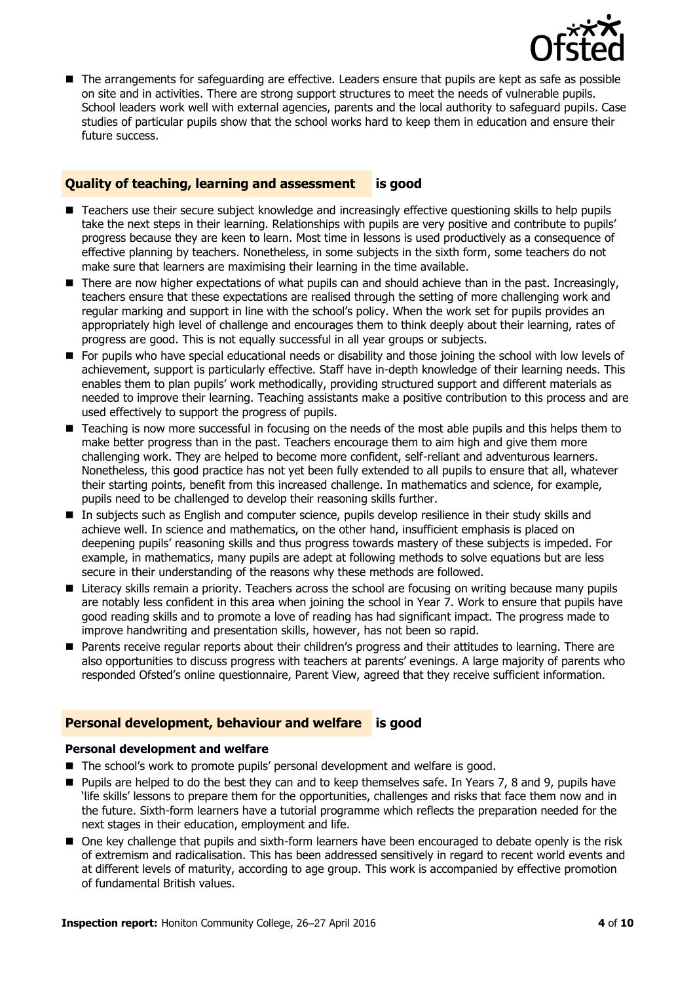

■ The arrangements for safeguarding are effective. Leaders ensure that pupils are kept as safe as possible on site and in activities. There are strong support structures to meet the needs of vulnerable pupils. School leaders work well with external agencies, parents and the local authority to safeguard pupils. Case studies of particular pupils show that the school works hard to keep them in education and ensure their future success.

#### **Quality of teaching, learning and assessment is good**

- Teachers use their secure subject knowledge and increasingly effective questioning skills to help pupils take the next steps in their learning. Relationships with pupils are very positive and contribute to pupils' progress because they are keen to learn. Most time in lessons is used productively as a consequence of effective planning by teachers. Nonetheless, in some subjects in the sixth form, some teachers do not make sure that learners are maximising their learning in the time available.
- There are now higher expectations of what pupils can and should achieve than in the past. Increasingly, teachers ensure that these expectations are realised through the setting of more challenging work and regular marking and support in line with the school's policy. When the work set for pupils provides an appropriately high level of challenge and encourages them to think deeply about their learning, rates of progress are good. This is not equally successful in all year groups or subjects.
- For pupils who have special educational needs or disability and those joining the school with low levels of achievement, support is particularly effective. Staff have in-depth knowledge of their learning needs. This enables them to plan pupils' work methodically, providing structured support and different materials as needed to improve their learning. Teaching assistants make a positive contribution to this process and are used effectively to support the progress of pupils.
- Teaching is now more successful in focusing on the needs of the most able pupils and this helps them to make better progress than in the past. Teachers encourage them to aim high and give them more challenging work. They are helped to become more confident, self-reliant and adventurous learners. Nonetheless, this good practice has not yet been fully extended to all pupils to ensure that all, whatever their starting points, benefit from this increased challenge. In mathematics and science, for example, pupils need to be challenged to develop their reasoning skills further.
- In subjects such as English and computer science, pupils develop resilience in their study skills and achieve well. In science and mathematics, on the other hand, insufficient emphasis is placed on deepening pupils' reasoning skills and thus progress towards mastery of these subjects is impeded. For example, in mathematics, many pupils are adept at following methods to solve equations but are less secure in their understanding of the reasons why these methods are followed.
- **Literacy skills remain a priority. Teachers across the school are focusing on writing because many pupils** are notably less confident in this area when joining the school in Year 7. Work to ensure that pupils have good reading skills and to promote a love of reading has had significant impact. The progress made to improve handwriting and presentation skills, however, has not been so rapid.
- **Parents receive regular reports about their children's progress and their attitudes to learning. There are** also opportunities to discuss progress with teachers at parents' evenings. A large majority of parents who responded Ofsted's online questionnaire, Parent View, agreed that they receive sufficient information.

#### **Personal development, behaviour and welfare is good**

#### **Personal development and welfare**

- The school's work to promote pupils' personal development and welfare is good.
- **Pupils are helped to do the best they can and to keep themselves safe. In Years 7, 8 and 9, pupils have** 'life skills' lessons to prepare them for the opportunities, challenges and risks that face them now and in the future. Sixth-form learners have a tutorial programme which reflects the preparation needed for the next stages in their education, employment and life.
- One key challenge that pupils and sixth-form learners have been encouraged to debate openly is the risk of extremism and radicalisation. This has been addressed sensitively in regard to recent world events and at different levels of maturity, according to age group. This work is accompanied by effective promotion of fundamental British values.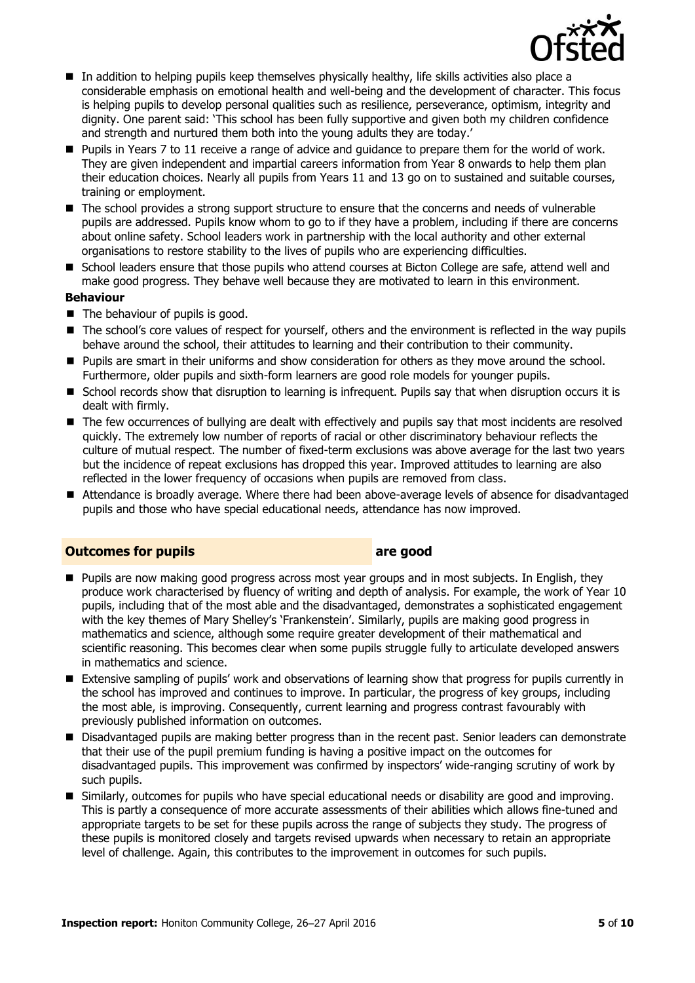

- In addition to helping pupils keep themselves physically healthy, life skills activities also place a considerable emphasis on emotional health and well-being and the development of character. This focus is helping pupils to develop personal qualities such as resilience, perseverance, optimism, integrity and dignity. One parent said: 'This school has been fully supportive and given both my children confidence and strength and nurtured them both into the young adults they are today.'
- **Pupils in Years 7 to 11 receive a range of advice and quidance to prepare them for the world of work.** They are given independent and impartial careers information from Year 8 onwards to help them plan their education choices. Nearly all pupils from Years 11 and 13 go on to sustained and suitable courses, training or employment.
- The school provides a strong support structure to ensure that the concerns and needs of vulnerable pupils are addressed. Pupils know whom to go to if they have a problem, including if there are concerns about online safety. School leaders work in partnership with the local authority and other external organisations to restore stability to the lives of pupils who are experiencing difficulties.
- School leaders ensure that those pupils who attend courses at Bicton College are safe, attend well and make good progress. They behave well because they are motivated to learn in this environment.

#### **Behaviour**

- The behaviour of pupils is good.
- The school's core values of respect for vourself, others and the environment is reflected in the way pupils behave around the school, their attitudes to learning and their contribution to their community.
- **Pupils are smart in their uniforms and show consideration for others as they move around the school.** Furthermore, older pupils and sixth-form learners are good role models for younger pupils.
- School records show that disruption to learning is infrequent. Pupils say that when disruption occurs it is dealt with firmly.
- The few occurrences of bullying are dealt with effectively and pupils say that most incidents are resolved quickly. The extremely low number of reports of racial or other discriminatory behaviour reflects the culture of mutual respect. The number of fixed-term exclusions was above average for the last two years but the incidence of repeat exclusions has dropped this year. Improved attitudes to learning are also reflected in the lower frequency of occasions when pupils are removed from class.
- Attendance is broadly average. Where there had been above-average levels of absence for disadvantaged pupils and those who have special educational needs, attendance has now improved.

#### **Outcomes for pupils are good**

- **Pupils are now making good progress across most year groups and in most subjects. In English, they** produce work characterised by fluency of writing and depth of analysis. For example, the work of Year 10 pupils, including that of the most able and the disadvantaged, demonstrates a sophisticated engagement with the key themes of Mary Shelley's 'Frankenstein'. Similarly, pupils are making good progress in mathematics and science, although some require greater development of their mathematical and scientific reasoning. This becomes clear when some pupils struggle fully to articulate developed answers in mathematics and science.
- Extensive sampling of pupils' work and observations of learning show that progress for pupils currently in the school has improved and continues to improve. In particular, the progress of key groups, including the most able, is improving. Consequently, current learning and progress contrast favourably with previously published information on outcomes.
- **Disadvantaged pupils are making better progress than in the recent past. Senior leaders can demonstrate** that their use of the pupil premium funding is having a positive impact on the outcomes for disadvantaged pupils. This improvement was confirmed by inspectors' wide-ranging scrutiny of work by such pupils.
- Similarly, outcomes for pupils who have special educational needs or disability are good and improving. This is partly a consequence of more accurate assessments of their abilities which allows fine-tuned and appropriate targets to be set for these pupils across the range of subjects they study. The progress of these pupils is monitored closely and targets revised upwards when necessary to retain an appropriate level of challenge. Again, this contributes to the improvement in outcomes for such pupils.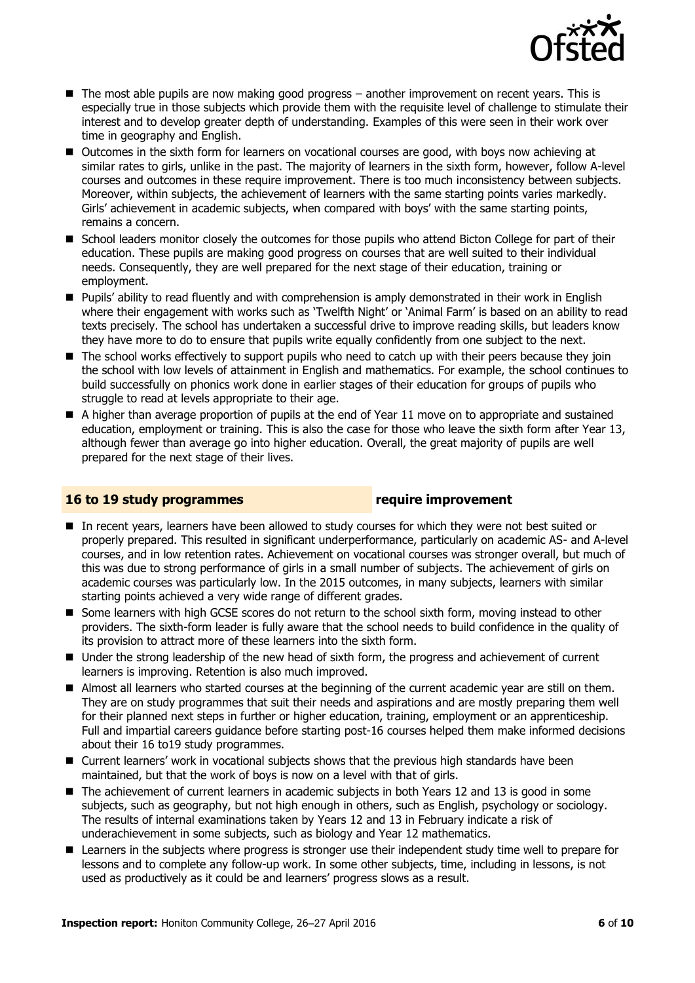

- The most able pupils are now making good progress another improvement on recent years. This is especially true in those subjects which provide them with the requisite level of challenge to stimulate their interest and to develop greater depth of understanding. Examples of this were seen in their work over time in geography and English.
- Outcomes in the sixth form for learners on vocational courses are good, with boys now achieving at similar rates to girls, unlike in the past. The majority of learners in the sixth form, however, follow A-level courses and outcomes in these require improvement. There is too much inconsistency between subjects. Moreover, within subjects, the achievement of learners with the same starting points varies markedly. Girls' achievement in academic subjects, when compared with boys' with the same starting points, remains a concern.
- School leaders monitor closely the outcomes for those pupils who attend Bicton College for part of their education. These pupils are making good progress on courses that are well suited to their individual needs. Consequently, they are well prepared for the next stage of their education, training or employment.
- **Pupils'** ability to read fluently and with comprehension is amply demonstrated in their work in English where their engagement with works such as 'Twelfth Night' or 'Animal Farm' is based on an ability to read texts precisely. The school has undertaken a successful drive to improve reading skills, but leaders know they have more to do to ensure that pupils write equally confidently from one subject to the next.
- The school works effectively to support pupils who need to catch up with their peers because they join the school with low levels of attainment in English and mathematics. For example, the school continues to build successfully on phonics work done in earlier stages of their education for groups of pupils who struggle to read at levels appropriate to their age.
- A higher than average proportion of pupils at the end of Year 11 move on to appropriate and sustained education, employment or training. This is also the case for those who leave the sixth form after Year 13, although fewer than average go into higher education. Overall, the great majority of pupils are well prepared for the next stage of their lives.

#### **16 to 19 study programmes require improvement**

- In recent years, learners have been allowed to study courses for which they were not best suited or properly prepared. This resulted in significant underperformance, particularly on academic AS- and A-level courses, and in low retention rates. Achievement on vocational courses was stronger overall, but much of this was due to strong performance of girls in a small number of subjects. The achievement of girls on academic courses was particularly low. In the 2015 outcomes, in many subjects, learners with similar starting points achieved a very wide range of different grades.
- Some learners with high GCSE scores do not return to the school sixth form, moving instead to other providers. The sixth-form leader is fully aware that the school needs to build confidence in the quality of its provision to attract more of these learners into the sixth form.
- Under the strong leadership of the new head of sixth form, the progress and achievement of current learners is improving. Retention is also much improved.
- Almost all learners who started courses at the beginning of the current academic year are still on them. They are on study programmes that suit their needs and aspirations and are mostly preparing them well for their planned next steps in further or higher education, training, employment or an apprenticeship. Full and impartial careers guidance before starting post-16 courses helped them make informed decisions about their 16 to19 study programmes.
- Current learners' work in vocational subjects shows that the previous high standards have been maintained, but that the work of boys is now on a level with that of girls.
- The achievement of current learners in academic subjects in both Years 12 and 13 is good in some subjects, such as geography, but not high enough in others, such as English, psychology or sociology. The results of internal examinations taken by Years 12 and 13 in February indicate a risk of underachievement in some subjects, such as biology and Year 12 mathematics.
- **E** Learners in the subjects where progress is stronger use their independent study time well to prepare for lessons and to complete any follow-up work. In some other subjects, time, including in lessons, is not used as productively as it could be and learners' progress slows as a result.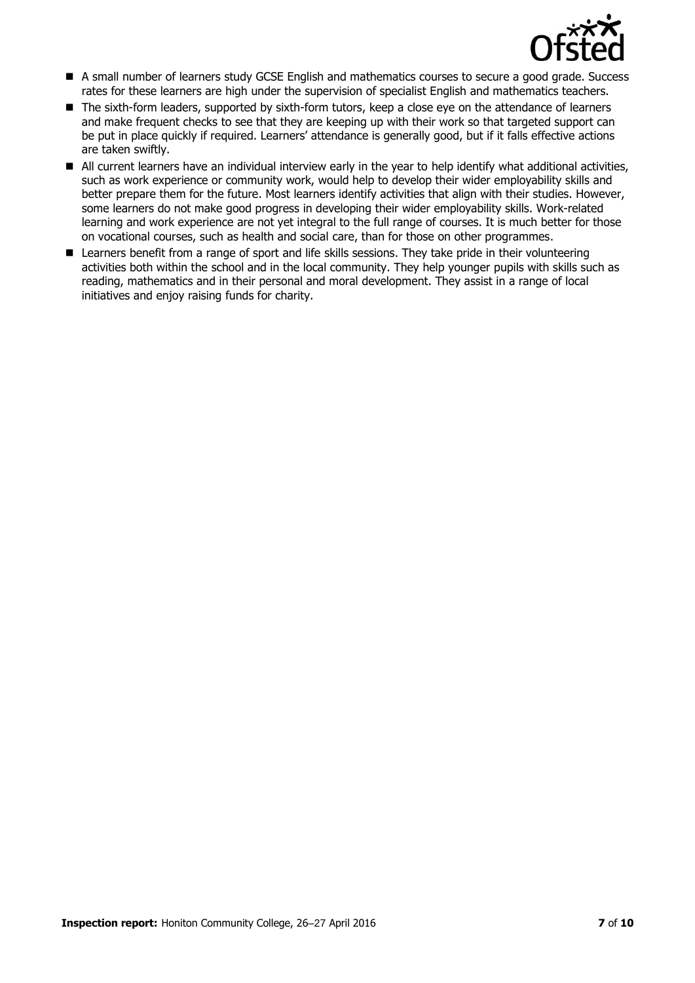

- A small number of learners study GCSE English and mathematics courses to secure a good grade. Success rates for these learners are high under the supervision of specialist English and mathematics teachers.
- The sixth-form leaders, supported by sixth-form tutors, keep a close eye on the attendance of learners and make frequent checks to see that they are keeping up with their work so that targeted support can be put in place quickly if required. Learners' attendance is generally good, but if it falls effective actions are taken swiftly.
- All current learners have an individual interview early in the year to help identify what additional activities, such as work experience or community work, would help to develop their wider employability skills and better prepare them for the future. Most learners identify activities that align with their studies. However, some learners do not make good progress in developing their wider employability skills. Work-related learning and work experience are not yet integral to the full range of courses. It is much better for those on vocational courses, such as health and social care, than for those on other programmes.
- Learners benefit from a range of sport and life skills sessions. They take pride in their volunteering activities both within the school and in the local community. They help younger pupils with skills such as reading, mathematics and in their personal and moral development. They assist in a range of local initiatives and enjoy raising funds for charity.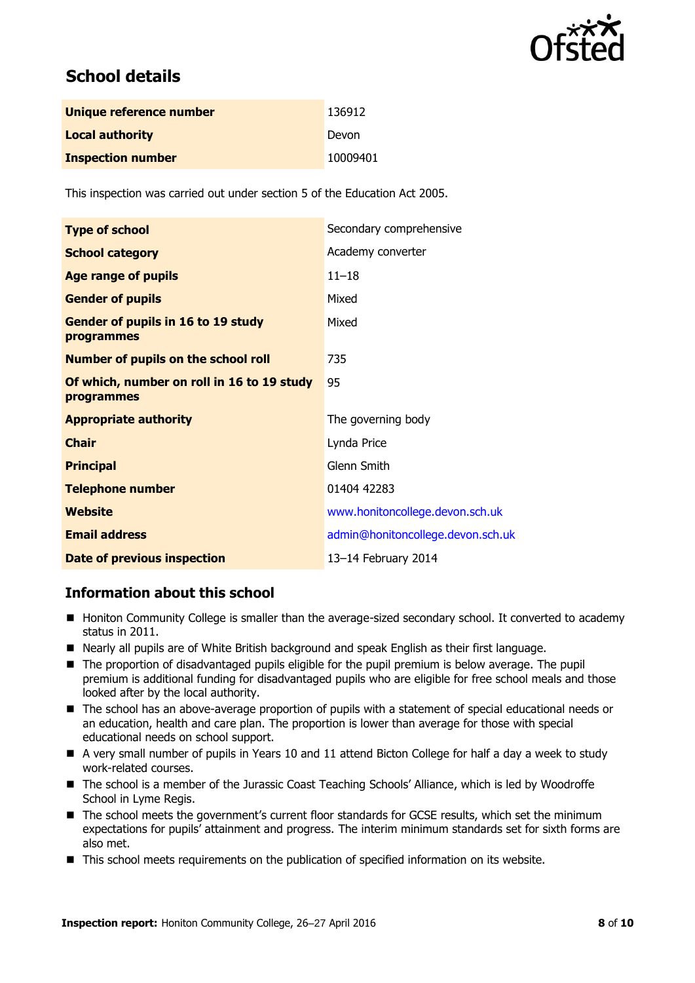

## **School details**

| Unique reference number  | 136912   |
|--------------------------|----------|
| <b>Local authority</b>   | Devon    |
| <b>Inspection number</b> | 10009401 |

This inspection was carried out under section 5 of the Education Act 2005.

| <b>Type of school</b>                                    | Secondary comprehensive           |
|----------------------------------------------------------|-----------------------------------|
| <b>School category</b>                                   | Academy converter                 |
| <b>Age range of pupils</b>                               | $11 - 18$                         |
| <b>Gender of pupils</b>                                  | Mixed                             |
| Gender of pupils in 16 to 19 study<br><b>programmes</b>  | Mixed                             |
| <b>Number of pupils on the school roll</b>               | 735                               |
| Of which, number on roll in 16 to 19 study<br>programmes | 95                                |
| <b>Appropriate authority</b>                             | The governing body                |
| <b>Chair</b>                                             | Lynda Price                       |
| <b>Principal</b>                                         | Glenn Smith                       |
| <b>Telephone number</b>                                  | 01404 42283                       |
| Website                                                  | www.honitoncollege.devon.sch.uk   |
| <b>Email address</b>                                     | admin@honitoncollege.devon.sch.uk |
| <b>Date of previous inspection</b>                       | 13-14 February 2014               |

#### **Information about this school**

- Honiton Community College is smaller than the average-sized secondary school. It converted to academy status in 2011.
- Nearly all pupils are of White British background and speak English as their first language.
- The proportion of disadvantaged pupils eligible for the pupil premium is below average. The pupil premium is additional funding for disadvantaged pupils who are eligible for free school meals and those looked after by the local authority.
- The school has an above-average proportion of pupils with a statement of special educational needs or an education, health and care plan. The proportion is lower than average for those with special educational needs on school support.
- A very small number of pupils in Years 10 and 11 attend Bicton College for half a day a week to study work-related courses.
- The school is a member of the Jurassic Coast Teaching Schools' Alliance, which is led by Woodroffe School in Lyme Regis.
- The school meets the government's current floor standards for GCSE results, which set the minimum expectations for pupils' attainment and progress. The interim minimum standards set for sixth forms are also met.
- $\blacksquare$  This school meets requirements on the publication of specified information on its website.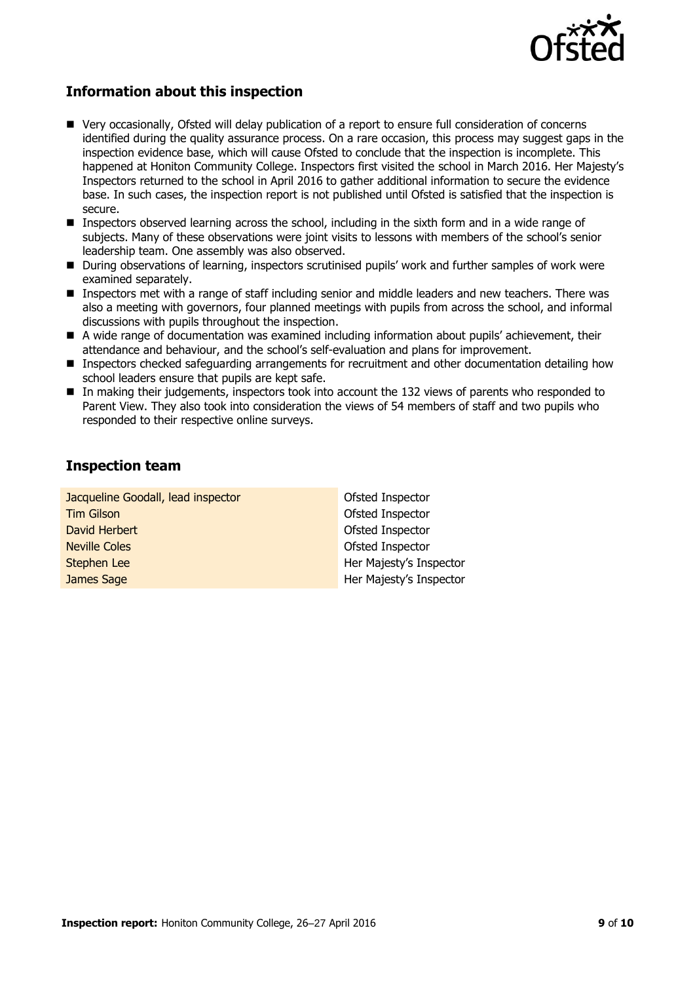

### **Information about this inspection**

- Very occasionally, Ofsted will delay publication of a report to ensure full consideration of concerns identified during the quality assurance process. On a rare occasion, this process may suggest gaps in the inspection evidence base, which will cause Ofsted to conclude that the inspection is incomplete. This happened at Honiton Community College. Inspectors first visited the school in March 2016. Her Majesty's Inspectors returned to the school in April 2016 to gather additional information to secure the evidence base. In such cases, the inspection report is not published until Ofsted is satisfied that the inspection is secure.
- **Inspectors observed learning across the school, including in the sixth form and in a wide range of** subjects. Many of these observations were joint visits to lessons with members of the school's senior leadership team. One assembly was also observed.
- **During observations of learning, inspectors scrutinised pupils' work and further samples of work were** examined separately.
- Inspectors met with a range of staff including senior and middle leaders and new teachers. There was also a meeting with governors, four planned meetings with pupils from across the school, and informal discussions with pupils throughout the inspection.
- A wide range of documentation was examined including information about pupils' achievement, their attendance and behaviour, and the school's self-evaluation and plans for improvement.
- **Inspectors checked safeguarding arrangements for recruitment and other documentation detailing how** school leaders ensure that pupils are kept safe.
- In making their judgements, inspectors took into account the 132 views of parents who responded to Parent View. They also took into consideration the views of 54 members of staff and two pupils who responded to their respective online surveys.

#### **Inspection team**

Jacqueline Goodall, lead inspector Tim Gilson David Herbert Neville Coles Stephen Lee James Sage

Ofsted Inspector Ofsted Inspector Ofsted Inspector Ofsted Inspector Her Majesty's Inspector Her Majesty's Inspector